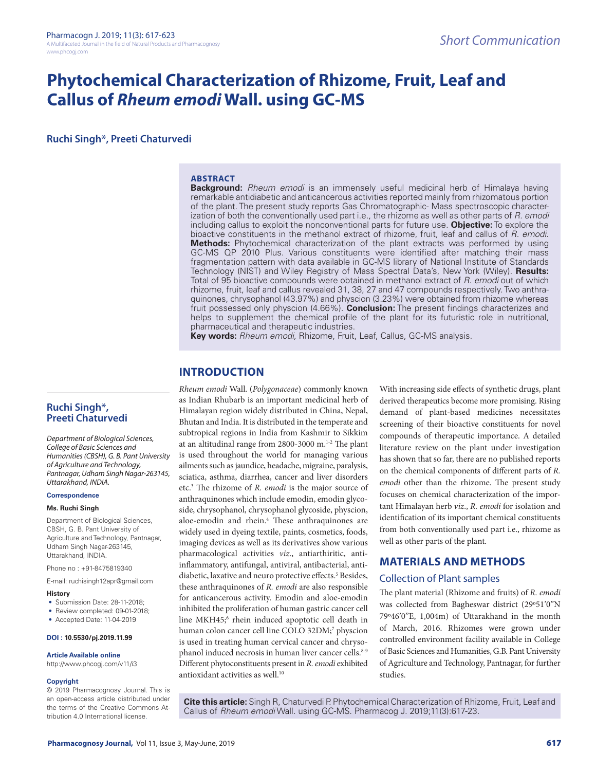# **Phytochemical Characterization of Rhizome, Fruit, Leaf and Callus of** *Rheum emodi* **Wall. using GC-MS**

**Ruchi Singh\*, Preeti Chaturvedi**

#### **ABSTRACT**

**Background:** *Rheum emodi* is an immensely useful medicinal herb of Himalaya having remarkable antidiabetic and anticancerous activities reported mainly from rhizomatous portion of the plant. The present study reports Gas Chromatographic- Mass spectroscopic characterization of both the conventionally used part i.e., the rhizome as well as other parts of *R. emodi*  including callus to exploit the nonconventional parts for future use. **Objective:** To explore the bioactive constituents in the methanol extract of rhizome, fruit, leaf and callus of *R. emodi*. **Methods:** Phytochemical characterization of the plant extracts was performed by using GC-MS QP 2010 Plus. Various constituents were identified after matching their mass fragmentation pattern with data available in GC-MS library of National Institute of Standards Technology (NIST) and Wiley Registry of Mass Spectral Data's, New York (Wiley). **Results:** Total of 95 bioactive compounds were obtained in methanol extract of *R. emodi* out of which rhizome, fruit, leaf and callus revealed 31, 38, 27 and 47 compounds respectively. Two anthraquinones, chrysophanol (43.97%) and physcion (3.23%) were obtained from rhizome whereas fruit possessed only physcion (4.66%). **Conclusion:** The present findings characterizes and helps to supplement the chemical profile of the plant for its futuristic role in nutritional, pharmaceutical and therapeutic industries.

**Key words:** *Rheum emodi,* Rhizome, Fruit, Leaf, Callus, GC-MS analysis.

# **INTRODUCTION**

*Rheum emodi* Wall. (*Polygonaceae*) commonly known as Indian Rhubarb is an important medicinal herb of Himalayan region widely distributed in China, Nepal, Bhutan and India. It is distributed in the temperate and subtropical regions in India from Kashmir to Sikkim at an altitudinal range from 2800-3000 m.1-2 The plant is used throughout the world for managing various ailments such as jaundice, headache, migraine, paralysis, sciatica, asthma, diarrhea, cancer and liver disorders etc.3 The rhizome of *R. emodi* is the major source of anthraquinones which include emodin, emodin glycoside, chrysophanol, chrysophanol glycoside, physcion, aloe-emodin and rhein.<sup>4</sup> These anthraquinones are widely used in dyeing textile, paints, cosmetics, foods, imaging devices as well as its derivatives show various pharmacological activities *viz*., antiarthiritic, antiinflammatory, antifungal, antiviral, antibacterial, antidiabetic, laxative and neuro protective effects.<sup>5</sup> Besides, these anthraquinones of *R. emodi* are also responsible for anticancerous activity. Emodin and aloe-emodin inhibited the proliferation of human gastric cancer cell line MKH45;<sup>6</sup> rhein induced apoptotic cell death in human colon cancer cell line COLO 32DM;<sup>7</sup> physcion is used in treating human cervical cancer and chrysophanol induced necrosis in human liver cancer cells.<sup>8-9</sup> Different phytoconstituents present in *R. emodi* exhibited antioxidant activities as well.<sup>10</sup>

With increasing side effects of synthetic drugs, plant derived therapeutics become more promising. Rising demand of plant-based medicines necessitates screening of their bioactive constituents for novel compounds of therapeutic importance. A detailed literature review on the plant under investigation has shown that so far, there are no published reports on the chemical components of different parts of *R. emodi* other than the rhizome. The present study focuses on chemical characterization of the important Himalayan herb *viz*., *R. emodi* for isolation and identification of its important chemical constituents from both conventionally used part i.e., rhizome as well as other parts of the plant.

# **MATERIALS AND METHODS**

## Collection of Plant samples

The plant material (Rhizome and fruits) of *R. emodi*  was collected from Bagheswar district (29º51'0"N 79º46'0"E, 1,004m) of Uttarakhand in the month of March, 2016. Rhizomes were grown under controlled environment facility available in College of Basic Sciences and Humanities, G.B. Pant University of Agriculture and Technology, Pantnagar, for further studies.

## **Ruchi Singh\*, Preeti Chaturvedi**

*Department of Biological Sciences, College of Basic Sciences and Humanities (CBSH), G. B. Pant University of Agriculture and Technology, Pantnagar, Udham Singh Nagar-263145, Uttarakhand, INDIA.*

#### **Correspondence**

#### **Ms. Ruchi Singh**

Department of Biological Sciences, CBSH, G. B. Pant University of Agriculture and Technology, Pantnagar, Udham Singh Nagar-263145, Uttarakhand, INDIA.

Phone no : +91-8475819340

E-mail: ruchisingh12apr@gmail.com

#### **History**

- Submission Date: 28-11-2018;
- Review completed: 09-01-2018;
- Accepted Date: 11-04-2019

#### **DOI : 10.5530/pj.2019.11.99**

#### **Article Available online**

http://www.phcogj.com/v11/i3

#### **Copyright**

© 2019 Pharmacognosy Journal. This is an open-access article distributed under the terms of the Creative Commons Attribution 4.0 International license.

**Cite this article:** Singh R, Chaturvedi P. Phytochemical Characterization of Rhizome, Fruit, Leaf and Callus of *Rheum emodi* Wall. using GC-MS. Pharmacog J. 2019;11(3):617-23.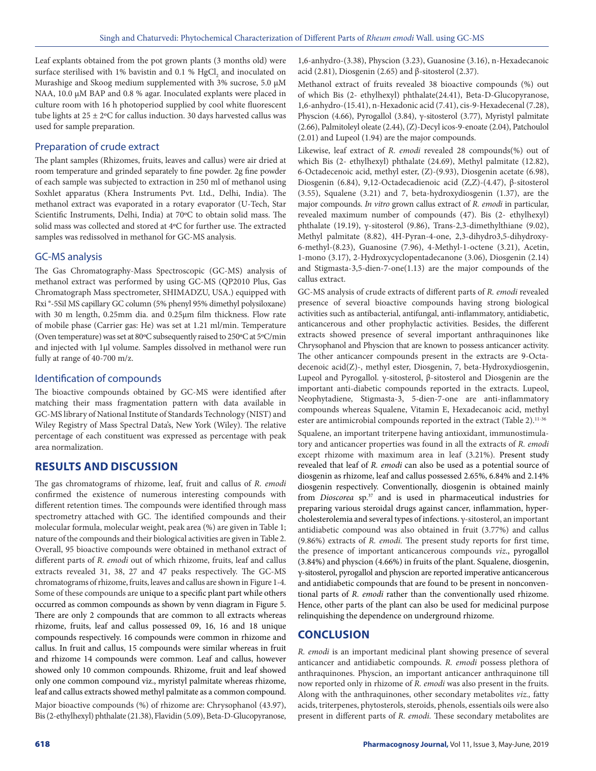Leaf explants obtained from the pot grown plants (3 months old) were surface sterilised with 1% bavistin and 0.1 %  $\mathrm{HgCl}_{2}$  and inoculated on Murashige and Skoog medium supplemented with 3% sucrose, 5.0 µM NAA, 10.0 µM BAP and 0.8 % agar. Inoculated explants were placed in culture room with 16 h photoperiod supplied by cool white fluorescent tube lights at  $25 \pm 2$ °C for callus induction. 30 days harvested callus was used for sample preparation.

## Preparation of crude extract

The plant samples (Rhizomes, fruits, leaves and callus) were air dried at room temperature and grinded separately to fine powder. 2g fine powder of each sample was subjected to extraction in 250 ml of methanol using Soxhlet apparatus (Khera Instruments Pvt. Ltd., Delhi, India). The methanol extract was evaporated in a rotary evaporator (U-Tech, Star Scientific Instruments, Delhi, India) at 70ºC to obtain solid mass. The solid mass was collected and stored at 4ºC for further use. The extracted samples was redissolved in methanol for GC-MS analysis.

## GC-MS analysis

The Gas Chromatography-Mass Spectroscopic (GC-MS) analysis of methanol extract was performed by using GC-MS (QP2010 Plus, Gas Chromatograph Mass spectrometer, SHIMADZU, USA.) equipped with Rxi ®-5Sil MS capillary GC column (5% phenyl 95% dimethyl polysiloxane) with 30 m length, 0.25mm dia. and 0.25µm film thickness. Flow rate of mobile phase (Carrier gas: He) was set at 1.21 ml/min. Temperature (Oven temperature) was set at 80ºC subsequently raised to 250ºC at 5ºC/min and injected with 1µl volume. Samples dissolved in methanol were run fully at range of 40-700 m/z.

#### Identification of compounds

The bioactive compounds obtained by GC-MS were identified after matching their mass fragmentation pattern with data available in GC-MS library of National Institute of Standards Technology (NIST) and Wiley Registry of Mass Spectral Data's, New York (Wiley). The relative percentage of each constituent was expressed as percentage with peak area normalization.

# **RESULTS AND DISCUSSION**

The gas chromatograms of rhizome, leaf, fruit and callus of *R. emodi* confirmed the existence of numerous interesting compounds with different retention times. The compounds were identified through mass spectrometry attached with GC. The identified compounds and their molecular formula, molecular weight, peak area (%) are given in Table 1; nature of the compounds and their biological activities are given in Table 2. Overall, 95 bioactive compounds were obtained in methanol extract of different parts of *R. emodi* out of which rhizome, fruits, leaf and callus extracts revealed 31, 38, 27 and 47 peaks respectively. The GC-MS chromatograms of rhizome, fruits, leaves and callus are shown in Figure 1-4. Some of these compounds are unique to a specific plant part while others occurred as common compounds as shown by venn diagram in Figure 5. There are only 2 compounds that are common to all extracts whereas rhizome, fruits, leaf and callus possessed 09, 16, 16 and 18 unique compounds respectively. 16 compounds were common in rhizome and callus. In fruit and callus, 15 compounds were similar whereas in fruit and rhizome 14 compounds were common. Leaf and callus, however showed only 10 common compounds. Rhizome, fruit and leaf showed only one common compound viz., myristyl palmitate whereas rhizome, leaf and callus extracts showed methyl palmitate as a common compound. Major bioactive compounds (%) of rhizome are: Chrysophanol (43.97), Bis (2-ethylhexyl) phthalate (21.38), Flavidin (5.09), Beta-D-Glucopyranose,

1,6-anhydro-(3.38), Physcion (3.23), Guanosine (3.16), n-Hexadecanoic acid (2.81), Diosgenin (2.65) and β-sitosterol (2.37).

Methanol extract of fruits revealed 38 bioactive compounds (%) out of which Bis (2- ethylhexyl) phthalate(24.41), Beta-D-Glucopyranose, 1,6-anhydro-(15.41), n-Hexadonic acid (7.41), cis-9-Hexadecenal (7.28), Physcion (4.66), Pyrogallol (3.84), γ-sitosterol (3.77), Myristyl palmitate (2.66), Palmitoleyl oleate (2.44), (Z)-Decyl icos-9-enoate (2.04), Patchoulol (2.01) and Lupeol (1.94) are the major compounds.

Likewise, leaf extract of *R. emodi* revealed 28 compounds(%) out of which Bis (2- ethylhexyl) phthalate (24.69), Methyl palmitate (12.82), 6-Octadecenoic acid, methyl ester, (Z)-(9.93), Diosgenin acetate (6.98), Diosgenin (6.84), 9,12-Octadecadienoic acid (Z,Z)-(4.47), β-sitosterol (3.55), Squalene (3.21) and 7, beta-hydroxydiosgenin (1.37), are the major compounds. *In vitro* grown callus extract of *R. emodi* in particular, revealed maximum number of compounds (47). Bis (2- ethylhexyl) phthalate (19.19), γ-sitosterol (9.86), Trans-2,3-dimethylthiane (9.02), Methyl palmitate (8.82), 4H-Pyran-4-one, 2,3-dihydro3,5-dihydroxy-6-methyl-(8.23), Guanosine (7.96), 4-Methyl-1-octene (3.21), Acetin, 1-mono (3.17), 2-Hydroxycyclopentadecanone (3.06), Diosgenin (2.14) and Stigmasta-3,5-dien-7-one(1.13) are the major compounds of the callus extract.

GC-MS analysis of crude extracts of different parts of *R. emodi* revealed presence of several bioactive compounds having strong biological activities such as antibacterial, antifungal, anti-inflammatory, antidiabetic, anticancerous and other prophylactic activities. Besides, the different extracts showed presence of several important anthraquinones like Chrysophanol and Physcion that are known to possess anticancer activity. The other anticancer compounds present in the extracts are 9-Octadecenoic acid(Z)-, methyl ester, Diosgenin, 7, beta-Hydroxydiosgenin, Lupeol and Pyrogallol. γ-sitosterol, β-sitosterol and Diosgenin are the important anti-diabetic compounds reported in the extracts. Lupeol, Neophytadiene, Stigmasta-3, 5-dien-7-one are anti-inflammatory compounds whereas Squalene, Vitamin E, Hexadecanoic acid, methyl ester are antimicrobial compounds reported in the extract (Table 2).<sup>11-36</sup> Squalene, an important triterpene having antioxidant, immunostimulatory and anticancer properties was found in all the extracts of *R. emodi* except rhizome with maximum area in leaf (3.21%). Present study revealed that leaf of *R. emodi* can also be used as a potential source of diosgenin as rhizome, leaf and callus possessed 2.65%, 6.84% and 2.14% diosgenin respectively. Conventionally, diosgenin is obtained mainly from *Dioscorea* sp.37 and is used in pharmaceutical industries for preparing various steroidal drugs against cancer, inflammation, hypercholesterolemia and several types of infections. γ-sitosterol, an important antidiabetic compound was also obtained in fruit (3.77%) and callus (9.86%) extracts of *R. emodi.* The present study reports for first time, the presence of important anticancerous compounds *viz*., pyrogallol (3.84%) and physcion (4.66%) in fruits of the plant. Squalene, diosgenin, γ-sitosterol, pyrogallol and physcion are reported imperative anticancerous and antidiabetic compounds that are found to be present in nonconventional parts of *R. emodi* rather than the conventionally used rhizome. Hence, other parts of the plant can also be used for medicinal purpose relinquishing the dependence on underground rhizome.

## **CONCLUSION**

*R. emodi* is an important medicinal plant showing presence of several anticancer and antidiabetic compounds. *R. emodi* possess plethora of anthraquinones. Physcion, an important anticancer anthraquinone till now reported only in rhizome of *R. emodi* was also present in the fruits. Along with the anthraquinones, other secondary metabolites *viz.,* fatty acids, triterpenes, phytosterols, steroids, phenols, essentials oils were also present in different parts of *R. emodi.* These secondary metabolites are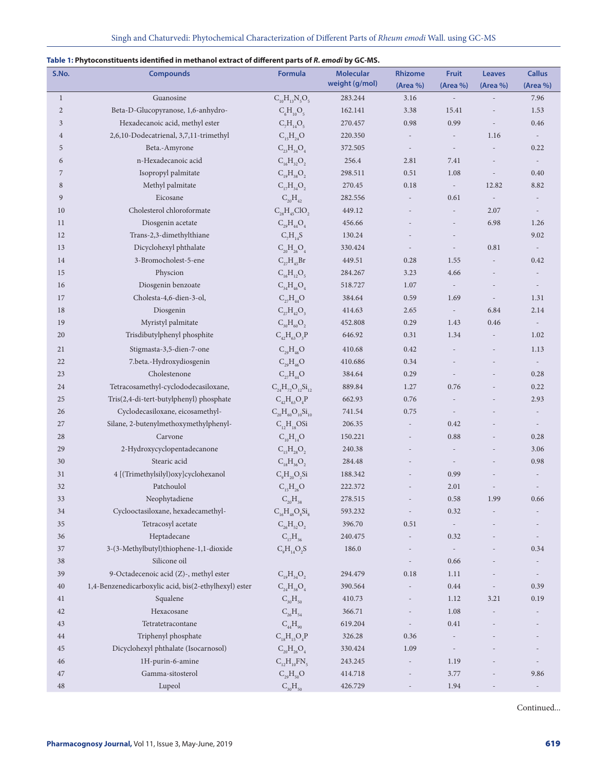| S.No.          | <b>Compounds</b>                                       | <b>Formula</b>                         | <b>Molecular</b><br>weight (g/mol) | <b>Rhizome</b><br>(Area %) | <b>Fruit</b><br>(Area %) | <b>Leaves</b><br>(Area %) | <b>Callus</b><br>(Area %) |
|----------------|--------------------------------------------------------|----------------------------------------|------------------------------------|----------------------------|--------------------------|---------------------------|---------------------------|
| $\mathbf{1}$   | Guanosine                                              | $C_{10}H_{13}N_5O_5$                   | 283.244                            | 3.16                       | $\overline{a}$           |                           | 7.96                      |
| $\overline{2}$ | Beta-D-Glucopyranose, 1,6-anhydro-                     | $C_6H_{10}O_5$                         | 162.141                            | 3.38                       | 15.41                    |                           | 1.53                      |
| $\mathfrak{Z}$ | Hexadecanoic acid, methyl ester                        | $C_7H_{14}O_5$                         | 270.457                            | 0.98                       | 0.99                     | $\overline{a}$            | 0.46                      |
| $\overline{4}$ | 2,6,10-Dodecatrienal, 3,7,11-trimethyl                 | $C_{15}H_{24}O$                        | 220.350                            |                            | $\overline{\phantom{m}}$ | 1.16                      | $\overline{\phantom{a}}$  |
| 5              | Beta.-Amyrone                                          | $C_{23}H_{34}O_4$                      | 372.505                            | $\overline{\phantom{a}}$   | $\overline{\phantom{a}}$ | $\overline{a}$            | 0.22                      |
| 6              | n-Hexadecanoic acid                                    | $C_{16}H_{32}O_2$                      | 256.4                              | 2.81                       | 7.41                     |                           | $\overline{\phantom{a}}$  |
| 7              | Isopropyl palmitate                                    | $C_{19}H_{38}O_2$                      | 298.511                            | 0.51                       | 1.08                     | $\overline{\phantom{a}}$  | 0.40                      |
| $\,$ 8 $\,$    | Methyl palmitate                                       | $C_{17}H_{34}O_2$                      | 270.45                             | 0.18                       | $\overline{\phantom{a}}$ | 12.82                     | 8.82                      |
| 9              | Eicosane                                               | $C_{20}H_{42}$                         | 282.556                            |                            | 0.61                     | $\overline{\phantom{a}}$  |                           |
| 10             | Cholesterol chloroformate                              | $C_{28}H_{45}ClO_2$                    | 449.12                             |                            | $\overline{\phantom{a}}$ | 2.07                      |                           |
| 11             | Diosgenin acetate                                      | $C_{29}H_{44}O_4$                      | 456.66                             |                            | $\overline{a}$           | 6.98                      | 1.26                      |
| 12             | Trans-2,3-dimethylthiane                               | $C_7H_{14}S$                           | 130.24                             |                            |                          |                           | 9.02                      |
| 13             | Dicyclohexyl phthalate<br>$C_{20}H_{26}O_4$<br>330.424 |                                        |                                    | $\overline{\phantom{a}}$   | 0.81                     | $\overline{\phantom{a}}$  |                           |
| 14             | 3-Bromocholest-5-ene                                   | $C_{27}H_{45}Br$                       | 449.51                             | 0.28                       | 1.55                     | $\overline{a}$            | 0.42                      |
| 15             | Physcion                                               | $C_{16}H_{12}O_5$                      | 284.267                            | 3.23                       | 4.66                     |                           |                           |
| 16             | Diosgenin benzoate                                     | $C_{34}H_{46}O_4$                      | 518.727                            | 1.07                       | $\overline{\phantom{a}}$ | $\overline{a}$            | $\overline{\phantom{a}}$  |
| 17             | Cholesta-4,6-dien-3-ol,                                | $C_{27}H_{44}O$                        | 384.64                             | 0.59                       | 1.69                     | $\frac{1}{2}$             | 1.31                      |
| 18             | Diosgenin                                              | $C_{27}H_{42}O_3$                      | 414.63                             | 2.65                       | $\overline{\phantom{a}}$ | 6.84                      | 2.14                      |
| 19             | Myristyl palmitate                                     | $C_{30}H_{60}O_2$                      | 452.808                            | 0.29                       | 1.43                     | 0.46                      |                           |
| 20             | Trisdibutylphenyl phosphite                            | $C_{42}H_{63}O_3P$                     | 646.92                             | 0.31                       | 1.34                     | $\overline{a}$            | 1.02                      |
| 21             | Stigmasta-3,5-dien-7-one                               | $C_{29}H_{46}O$                        | 410.68                             | 0.42                       |                          |                           | 1.13                      |
| 22             | 7.beta.-Hydroxydiosgenin                               | $C_{29}H_{46}O$                        | 410.686                            | 0.34                       |                          |                           |                           |
| 23             | Cholestenone                                           | $C_{27}H_{44}O$                        | 384.64                             | 0.29                       |                          |                           | 0.28                      |
| 24             | Tetracosamethyl-cyclododecasiloxane,                   | $C_{24}H_{72}O_{12}Si_{12}$            | 889.84                             | 1.27                       | 0.76                     |                           | 0.22                      |
| 25             | Tris(2,4-di-tert-butylphenyl) phosphate                | $C_{42}H_{63}O_4P$                     | 662.93                             | 0.76                       |                          |                           | 2.93                      |
| 26             | Cyclodecasiloxane, eicosamethyl-                       | $C_{20}H_{60}O_{10}Si_{10}$            | 741.54                             | 0.75                       | $\overline{\phantom{a}}$ |                           |                           |
| 27             | Silane, 2-butenylmethoxymethylphenyl-                  | $C_{12}H_{18}OSi$                      | 206.35                             | $\overline{\phantom{a}}$   | 0.42                     |                           | $\overline{\phantom{a}}$  |
| 28             | Carvone                                                | $C_{10}H_{14}O$                        | 150.221                            | $\overline{a}$             | 0.88                     | $\overline{a}$            | 0.28                      |
| 29             | 2-Hydroxycyclopentadecanone                            | $C_{15}H_{28}O_2$                      | 240.38                             | $\overline{a}$             | $\overline{\phantom{a}}$ | $\overline{a}$            | 3.06                      |
| 30             | Stearic acid                                           | $C_{18}H_{36}O_2$                      | 284.48                             |                            | $\overline{\phantom{a}}$ |                           | 0.98                      |
| 31             | 4 [(Trimethylsilyl)oxy]cyclohexanol                    | $C_9H_{20}O_2Si$                       | 188.342                            |                            | 0.99                     |                           |                           |
| 32             | Patchoulol                                             | $C_{15}H_{26}O$                        | 222.372                            |                            | 2.01                     |                           |                           |
| 33             | Neophytadiene                                          | $\mathrm{C}_{_{20}\mathrm{H}_{_{38}}}$ | 278.515                            |                            | 0.58                     | 1.99                      | 0.66                      |
| 34             | Cyclooctasiloxane, hexadecamethyl-                     | $C_{16}H_{48}O_8Si_8$                  | 593.232                            | $\overline{\phantom{a}}$   | 0.32                     |                           |                           |
| 35             | Tetracosyl acetate                                     | $C_{26}H_{52}O_2$                      | 396.70                             | 0.51                       | $\overline{\phantom{a}}$ |                           |                           |
| 36             | Heptadecane                                            | $C_{17}H_{36}$                         | 240.475                            |                            | 0.32                     |                           |                           |
| 37             | 3-(3-Methylbutyl)thiophene-1,1-dioxide                 | $C_9H_{14}O_2S$                        | 186.0                              |                            | $\overline{\phantom{a}}$ |                           | 0.34                      |
| 38             | Silicone oil                                           |                                        |                                    | $\overline{\phantom{a}}$   | 0.66                     |                           |                           |
| 39             | 9-Octadecenoic acid (Z)-, methyl ester                 | $C_{19}H_{34}O_2$                      | 294.479                            | 0.18                       | 1.11                     |                           |                           |
| $40\,$         | 1,4-Benzenedicarboxylic acid, bis(2-ethylhexyl) ester  | $C_{24}H_{38}O_4$                      | 390.564                            | $\overline{a}$             | 0.44                     | $\frac{1}{2}$             | 0.39                      |
| 41             | Squalene                                               | $C_{30}H_{50}$                         | 410.73                             | $\overline{\phantom{m}}$   | 1.12                     | 3.21                      | 0.19                      |
| 42             | Hexacosane                                             | $C_{26}H_{54}$                         | 366.71                             | ÷                          | 1.08                     |                           |                           |
| 43             | Tetratetracontane                                      | $C_{44}H_{90}$                         | 619.204                            | $\overline{\phantom{a}}$   | 0.41                     |                           |                           |
| 44             | Triphenyl phosphate                                    | $C_{18}H_{15}O_4P$                     | 326.28                             | 0.36                       |                          |                           |                           |
| 45             | Dicyclohexyl phthalate (Isocarnosol)                   | $C_{20}H_{26}O_4$                      | 330.424                            | 1.09                       | $\overline{\phantom{a}}$ |                           |                           |
| 46             | 1H-purin-6-amine                                       | $C_{12}H_{10}FN_5$                     | 243.245                            |                            | 1.19                     |                           |                           |
| 47             | Gamma-sitosterol                                       | $C_{29}H_{50}O$                        | 414.718                            |                            | 3.77                     |                           | 9.86                      |
| $\rm 48$       | Lupeol                                                 | $C_{30}H_{50}$                         | 426.729                            | $\overline{\phantom{a}}$   | 1.94                     |                           | $\overline{\phantom{a}}$  |

## **Table 1: Phytoconstituents identified in methanol extract of different parts of** *R. emodi* **by GC-MS.**

Continued...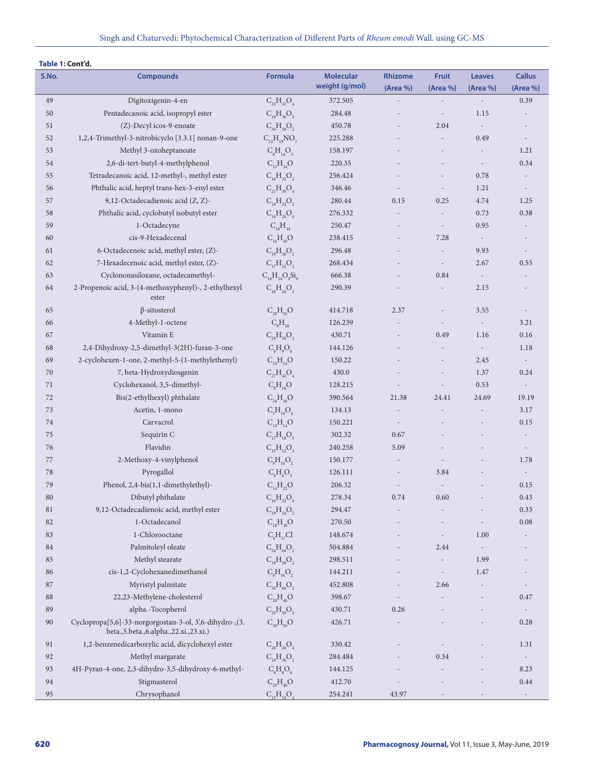| Table 1: Cont'd. |                                                                                                 |                                |                                    |                                            |                          |                           |                           |  |
|------------------|-------------------------------------------------------------------------------------------------|--------------------------------|------------------------------------|--------------------------------------------|--------------------------|---------------------------|---------------------------|--|
| S.No.            | <b>Compounds</b>                                                                                | <b>Formula</b>                 | <b>Molecular</b><br>weight (g/mol) | <b>Rhizome</b><br>(Area %)                 | <b>Fruit</b><br>(Area %) | <b>Leaves</b><br>(Area %) | <b>Callus</b><br>(Area %) |  |
| 49               | Digitoxigenin-4-en                                                                              | $C_{23}H_{32}O_4$              | 372.505                            |                                            |                          |                           | 0.39                      |  |
| 50               | Pentadecanoic acid, isopropyl ester                                                             | $C_{18}H_{36}O_2$              | 284.48                             |                                            |                          | 1.15                      |                           |  |
| 51               | (Z)-Decyl icos-9-enoate                                                                         | $C_{30}H_{58}O_2$              | 450.78                             |                                            | 2.04                     | $\sim$                    |                           |  |
| 52               | 1,2,4-Trimethyl-3-nitrobicyclo [3.3.1] nonan-9-one                                              | $C_{12}H_{19}NO_3$             | 225.288                            |                                            | $\overline{a}$           | 0.49                      | $\sim$                    |  |
| 53               | Methyl 3-oxoheptanoate                                                                          | $C_8H_{14}O_3$                 | 158.197                            |                                            |                          |                           | 1.21                      |  |
| 54               | 2,6-di-tert-butyl-4-methylphenol                                                                | $C_{15}H_{24}O$                | 220.35                             |                                            |                          | $\overline{\phantom{a}}$  | 0.34                      |  |
| 55               | Tetradecanoic acid, 12-methyl-, methyl ester                                                    | $C_{16}H_{32}O_2$              | 256.424                            |                                            | $\overline{\phantom{m}}$ | 0.78                      |                           |  |
| 56               | Phthalic acid, heptyl trans-hex-3-enyl ester                                                    | $C_{21}H_{30}O_4$              | 346.46                             | $\overline{\phantom{a}}$                   | $\overline{\phantom{a}}$ | 1.21                      | $\overline{\phantom{a}}$  |  |
| 57               | 9,12-Octadecadienoic acid (Z, Z)-                                                               | $C_{18}H_{32}O_2$              | 280.44                             | 0.15                                       | 0.25                     | 4.74                      | 1.25                      |  |
| 58               | Phthalic acid, cyclobutyl isobutyl ester                                                        | $C_{16}H_{20}O_4$              | 276.332                            | $\overline{a}$                             | $\overline{\phantom{a}}$ | 0.73                      | 0.38                      |  |
| 59               | 1-Octadecyne                                                                                    | $C_{18}H_{34}$                 | 250.47                             | $\overline{a}$                             | $\overline{\phantom{a}}$ | 0.95                      | $\overline{a}$            |  |
| 60               | cis-9-Hexadecenal                                                                               | $C_{16}H_{30}O$                | 238.415                            | 7.28                                       |                          | $\overline{\phantom{a}}$  |                           |  |
| 61               | 6-Octadecenoic acid, methyl ester, (Z)-                                                         | $C_{19}H_{36}O_2$              | 296.48                             | $\overline{\phantom{a}}$<br>$\overline{a}$ |                          | 9.93                      | $\overline{\phantom{a}}$  |  |
| 62               | 7-Hexadecenoic acid, methyl ester, (Z)-                                                         | $C_{17}H_{32}O_2$              | 268.434                            |                                            | $\overline{\phantom{a}}$ | 2.67                      | 0.55                      |  |
| 63               | Cyclononasiloxane, octadecamethyl-                                                              | $C_{18}H_{54}O_{9}Si_{9}$      | 666.38                             |                                            | 0.84                     | $\overline{\phantom{a}}$  |                           |  |
| 64               | 2-Propenoic acid, 3-(4-methoxyphenyl)-, 2-ethylhexyl<br>$C_{18}H_{26}O_3$<br>290.39<br>ester    |                                |                                    |                                            |                          | 2.15                      |                           |  |
| 65               | $\beta$ -sitosterol                                                                             | $C_{29}H_{50}O$                | 414.718                            | 2.37                                       | $\frac{1}{2}$            | 3.55                      | $\overline{\phantom{a}}$  |  |
| 66               | 4-Methyl-1-octene                                                                               | $C_{9}H_{18}$                  | 126.239                            |                                            |                          | $\overline{\phantom{a}}$  | 3.21                      |  |
| 67               | Vitamin E                                                                                       | $C_{29}H_{50}O_2$              | 430.71                             |                                            | 0.49                     | 1.16                      | 0.16                      |  |
| 68               | 2,4-Dihydroxy-2,5-dimethyl-3(2H)-furan-3-one                                                    | $C_6H_8O_4$                    | 144.126                            |                                            |                          | $\sim$                    | 1.18                      |  |
| 69               | 2-cyclohexen-1-one, 2-methyl-5-(1-methylethenyl)                                                | $C_{10}H_{14}O$                | 150.22                             |                                            | $\overline{\phantom{m}}$ | 2.45                      | $\sim$                    |  |
| 70               | 7, beta-Hydroxydiosgenin                                                                        | $C_{27}H_{42}O_4$              | 430.0                              |                                            |                          | 1.37                      | 0.24                      |  |
| 71               | Cyclohexanol, 3,5-dimethyl-                                                                     | $C_{8}H_{16}O$                 | 128.215                            | $\overline{a}$                             | $\overline{\phantom{m}}$ | 0.53                      | $\overline{\phantom{a}}$  |  |
| 72               | Bis(2-ethylhexyl) phthalate                                                                     | $C_{24}H_{38}O$                | 390.564                            | 21.38                                      | 24.41                    | 24.69                     | 19.19                     |  |
| 73               | Acetin, 1-mono                                                                                  | $C_5H_{10}O_4$                 | 134.13                             | $\overline{a}$                             |                          | $\overline{a}$            | 3.17                      |  |
| 74               | Carvacrol                                                                                       | $C_{10}H_{14}O$                | 150.221                            | $\overline{\phantom{a}}$                   |                          |                           | 0.15                      |  |
| 75               | Sequirin C                                                                                      | $C_{17}H_{18}O_5$              | 302.32                             | 0.67                                       |                          |                           | $\overline{\phantom{a}}$  |  |
| 76               | Flavidin                                                                                        | $C_{15}H_{12}O_3$              | 240.258                            | 5.09                                       |                          |                           | $\overline{\phantom{a}}$  |  |
| 77               | 2-Methoxy-4-vinylphenol                                                                         | $C_9H_{10}O_2$                 | 150.177                            | $\overline{a}$                             | $\overline{\phantom{m}}$ |                           | 1.78                      |  |
| $78\,$           | Pyrogallol                                                                                      | $C_6H_6O_3$                    | 126.111                            | $\overline{\phantom{a}}$                   | 3.84                     |                           | $\overline{\phantom{a}}$  |  |
| 79               | Phenol, 2,4-bis(1,1-dimethylethyl)-                                                             | $C_{14}H_{22}O$                | 206.32                             |                                            |                          |                           | 0.15                      |  |
| 80               | Dibutyl phthalate                                                                               | $\mathrm{C_{16}H_{22}O_4}$     | 278.34                             | 0.74                                       | 0.60                     |                           | 0.43                      |  |
| 81               | 9,12-Octadecadienoic acid, methyl ester                                                         | $C_{19}H_{34}O_2$              | 294.47                             |                                            |                          |                           | 0.33                      |  |
| 82               | 1-Octadecanol                                                                                   | $C_{18}H_{38}O$                | 270.50                             |                                            |                          | $\overline{\phantom{a}}$  | 0.08                      |  |
| 83               | 1-Chlorooctane                                                                                  | $C_sH_{17}Cl$                  | 148.674                            |                                            | $\overline{\phantom{a}}$ | 1.00                      |                           |  |
| 84               | Palmitoleyl oleate                                                                              | $C_{34}H_{64}O_2$              | 504.884                            |                                            | 2.44                     | $\overline{\phantom{a}}$  |                           |  |
| 85               | Methyl stearate                                                                                 | $C_{19}H_{38}O_2$              | 298.511                            |                                            | $\overline{\phantom{a}}$ | 1.99                      |                           |  |
| 86               | cis-1,2-Cyclohexanedimethanol                                                                   | $C_{\rm s}H_{\rm 16}O_{\rm 2}$ | 144.211                            |                                            | $\overline{\phantom{a}}$ | 1.47                      |                           |  |
| 87               | Myristyl palmitate                                                                              | $C_{30}H_{60}O_2$              | 452.808                            |                                            | 2.66                     |                           | $\overline{\phantom{a}}$  |  |
| 88               | 22,23-Methylene-cholesterol                                                                     | $C_{28}H_{46}O$                | 398.67                             |                                            |                          |                           | 0.47                      |  |
| 89               | alpha.-Tocopherol                                                                               | $C_{29}H_{50}O_2$              | 430.71                             | 0.26                                       |                          |                           | $\overline{\phantom{a}}$  |  |
| 90               | Cyclopropa[5,6]-33-norgorgostan-3-ol, 3,6-dihydro-,(3.<br>beta.,5.beta.,6.alpha.,22.xi.,23.xi.) | $C_{30}H_{50}O$                | 426.71                             |                                            |                          |                           | 0.28                      |  |
| 91               | 1,2-benzenedicarboxylic acid, dicyclohexyl ester                                                | $C_{20}H_{26}O_4$              | 330.42                             |                                            |                          |                           | 1.31                      |  |
| 92               | Methyl margarate                                                                                | $C_{18}H_{36}O_2$              | 284.484                            |                                            | 0.34                     |                           |                           |  |
| 93               | 4H-Pyran-4-one, 2,3-dihydro-3,5-dihydroxy-6-methyl-                                             | $C_6H_8O_4$                    | 144.125                            |                                            |                          |                           | 8.23                      |  |
| 94               | Stigmasterol                                                                                    | $C_{29}H_{48}O$                | 412.70                             |                                            |                          |                           | 0.44                      |  |
| 95               | Chrysophanol                                                                                    | $C_{15}H_{10}O_4$              | 254.241                            | 43.97                                      |                          |                           | $\sim$                    |  |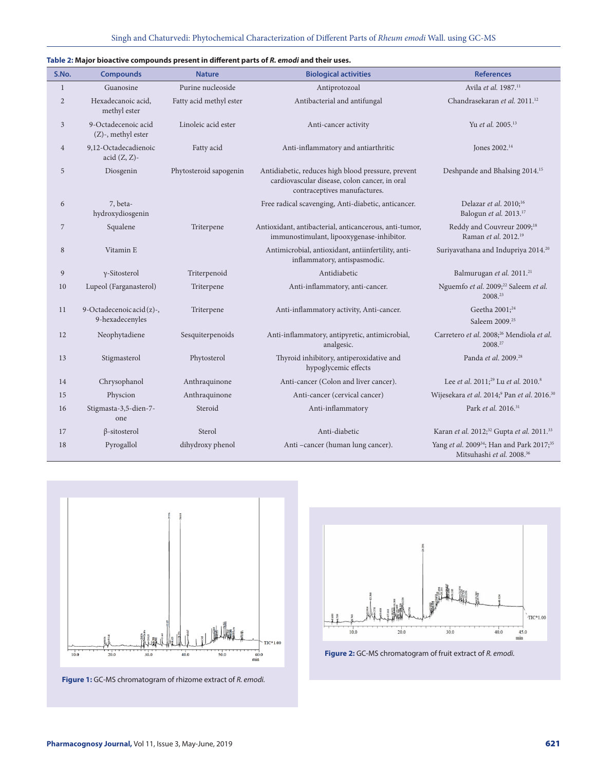| S.No.          | <b>Compounds</b>                             | <b>Nature</b>           | <b>Biological activities</b>                                                                                                        | <b>References</b>                                                                                          |  |
|----------------|----------------------------------------------|-------------------------|-------------------------------------------------------------------------------------------------------------------------------------|------------------------------------------------------------------------------------------------------------|--|
| $\mathbf{1}$   | Guanosine                                    | Purine nucleoside       | Antiprotozoal                                                                                                                       | Avila et al. 1987. <sup>11</sup>                                                                           |  |
| $\overline{2}$ | Hexadecanoic acid,<br>methyl ester           | Fatty acid methyl ester | Antibacterial and antifungal                                                                                                        | Chandrasekaran et al. 2011. <sup>12</sup>                                                                  |  |
| 3              | 9-Octadecenoic acid<br>$(Z)$ -, methyl ester | Linoleic acid ester     | Anti-cancer activity                                                                                                                | Yu et al. 2005. <sup>13</sup>                                                                              |  |
| $\overline{4}$ | 9,12-Octadecadienoic<br>$acid (Z, Z)$ -      | Fatty acid              | Anti-inflammatory and antiarthritic                                                                                                 | Jones 2002. <sup>14</sup>                                                                                  |  |
| 5              | Diosgenin                                    | Phytosteroid sapogenin  | Antidiabetic, reduces high blood pressure, prevent<br>cardiovascular disease, colon cancer, in oral<br>contraceptives manufactures. | Deshpande and Bhalsing 2014. <sup>15</sup>                                                                 |  |
| 6              | 7, beta-<br>hydroxydiosgenin                 |                         | Free radical scavenging, Anti-diabetic, anticancer.                                                                                 | Delazar et al. 2010; <sup>16</sup><br>Balogun et al. 2013. <sup>17</sup>                                   |  |
| 7              | Squalene                                     | Triterpene              | Antioxidant, antibacterial, anticancerous, anti-tumor,<br>immunostimulant, lipooxygenase-inhibitor.                                 | Reddy and Couvreur 2009; <sup>18</sup><br>Raman et al. 2012. <sup>19</sup>                                 |  |
| 8              | Vitamin E                                    |                         | Antimicrobial, antioxidant, antiinfertility, anti-<br>inflammatory, antispasmodic.                                                  | Suriyavathana and Indupriya 2014. <sup>20</sup>                                                            |  |
| 9              | $\gamma$ -Sitosterol                         | Triterpenoid            | Antidiabetic                                                                                                                        | Balmurugan et al. 2011. <sup>21</sup>                                                                      |  |
| 10             | Lupeol (Farganasterol)                       | Triterpene              | Anti-inflammatory, anti-cancer.                                                                                                     | Nguemfo et al. 2009; <sup>22</sup> Saleem et al.<br>2008.23                                                |  |
| 11             | 9-Octadecenoic acid (z)-,<br>9-hexadecenyles | Triterpene              | Anti-inflammatory activity, Anti-cancer.                                                                                            | Geetha 2001; <sup>24</sup><br>Saleem 2009. <sup>25</sup>                                                   |  |
| 12             | Neophytadiene                                | Sesquiterpenoids        | Anti-inflammatory, antipyretic, antimicrobial,<br>analgesic.                                                                        | Carretero et al. 2008; <sup>26</sup> Mendiola et al.<br>2008.27                                            |  |
| 13             | Stigmasterol                                 | Phytosterol             | Thyroid inhibitory, antiperoxidative and<br>hypoglycemic effects                                                                    | Panda et al. 2009. <sup>28</sup>                                                                           |  |
| 14             | Chrysophanol                                 | Anthraquinone           | Anti-cancer (Colon and liver cancer).                                                                                               | Lee et al. 2011; <sup>29</sup> Lu et al. 2010. <sup>8</sup>                                                |  |
| 15             | Physcion                                     | Anthraquinone           | Anti-cancer (cervical cancer)                                                                                                       | Wijesekara et al. 2014;9 Pan et al. 2016. <sup>30</sup>                                                    |  |
| 16             | Stigmasta-3,5-dien-7-<br>one                 | Steroid                 | Anti-inflammatory                                                                                                                   | Park et al. 2016. <sup>31</sup>                                                                            |  |
| 17             | $\beta$ -sitosterol                          | Sterol                  | Anti-diabetic                                                                                                                       | Karan et al. 2012; <sup>32</sup> Gupta et al. 2011. <sup>33</sup>                                          |  |
| 18             | Pyrogallol                                   | dihydroxy phenol        | Anti-cancer (human lung cancer).                                                                                                    | Yang et al. 2009 <sup>34</sup> ; Han and Park 2017; <sup>35</sup><br>Mitsuhashi et al. 2008. <sup>36</sup> |  |

**Table 2: Major bioactive compounds present in different parts of** *R. emodi* **and their uses.**



**Figure 1:** GC-MS chromatogram of rhizome extract of *R. emodi.*



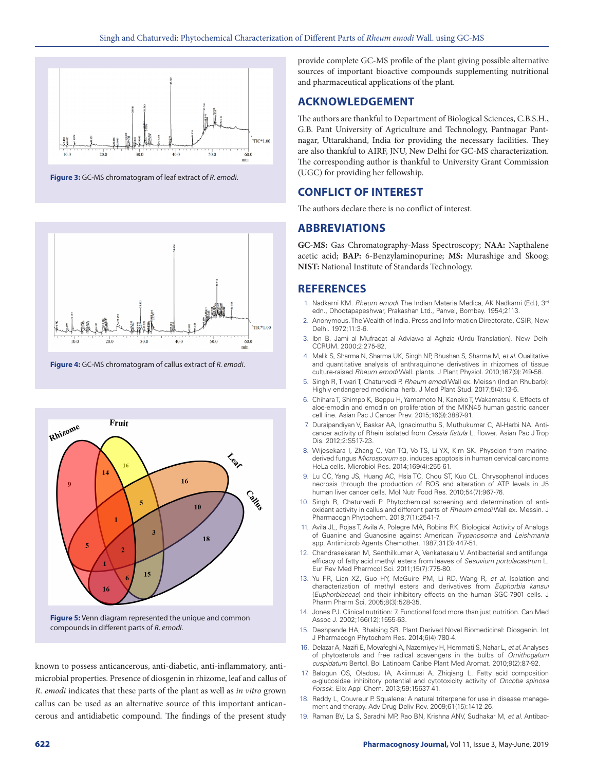

**Figure 3:** GC-MS chromatogram of leaf extract of *R. emodi*.



**Figure 4:** GC-MS chromatogram of callus extract of *R. emodi*.



**Figure 5:** Venn diagram represented the unique and common compounds in different parts of *R*. *emodi.*

known to possess anticancerous, anti-diabetic, anti-inflammatory, antimicrobial properties. Presence of diosgenin in rhizome, leaf and callus of *R. emodi* indicates that these parts of the plant as well as *in vitro* grown callus can be used as an alternative source of this important anticancerous and antidiabetic compound. The findings of the present study

provide complete GC-MS profile of the plant giving possible alternative sources of important bioactive compounds supplementing nutritional and pharmaceutical applications of the plant.

## **ACKNOWLEDGEMENT**

The authors are thankful to Department of Biological Sciences, C.B.S.H., G.B. Pant University of Agriculture and Technology, Pantnagar Pantnagar, Uttarakhand, India for providing the necessary facilities. They are also thankful to AIRF, JNU, New Delhi for GC-MS characterization. The corresponding author is thankful to University Grant Commission (UGC) for providing her fellowship.

# **CONFLICT OF INTEREST**

The authors declare there is no conflict of interest.

#### **ABBREVIATIONS**

**GC-MS:** Gas Chromatography-Mass Spectroscopy; **NAA:** Napthalene acetic acid; **BAP:** 6-Benzylaminopurine; **MS:** Murashige and Skoog; **NIST:** National Institute of Standards Technology.

#### **REFERENCES**

- 1. Nadkarni KM. *Rheum emodi*. The Indian Materia Medica, AK Nadkarni (Ed.), 3rd edn., Dhootapapeshwar, Prakashan Ltd., Panvel, Bombay. 1954;2113.
- 2. Anonymous. The Wealth of India. Press and Information Directorate, CSIR, New Delhi. 1972;11:3-6.
- 3. Ibn B. Jami al Mufradat al Adviawa al Aghzia (Urdu Translation). New Delhi CCRUM. 2000;2:275-82.
- 4. Malik S, Sharma N, Sharma UK, Singh NP, Bhushan S, Sharma M, *et al.* Qualitative and quantitative analysis of anthraquinone derivatives in rhizomes of tissue culture-raised *Rheum emodi* Wall. plants. J Plant Physiol. 2010;167(9):749-56.
- 5. Singh R, Tiwari T, Chaturvedi P. *Rheum emodi* Wall ex. Meissn (Indian Rhubarb): Highly endangered medicinal herb. J Med Plant Stud. 2017;5(4):13-6.
- 6. Chihara T, Shimpo K, Beppu H, Yamamoto N, Kaneko T, Wakamatsu K. Effects of aloe-emodin and emodin on proliferation of the MKN45 human gastric cancer cell line. Asian Pac J Cancer Prev. 2015;16(9):3887-91.
- 7. Duraipandiyan V, Baskar AA, Ignacimuthu S, Muthukumar C, Al-Harbi NA. Anticancer activity of Rhein isolated from *Cassia fistula* L. flower. Asian Pac J Trop Dis. 2012;2:S517-23.
- 8. Wijesekara I, Zhang C, Van TQ, Vo TS, Li YX, Kim SK. Physcion from marinederived fungus *Microsporum* sp. induces apoptosis in human cervical carcinoma HeLa cells. Microbiol Res. 2014;169(4):255-61.
- 9. Lu CC, Yang JS, Huang AC, Hsia TC, Chou ST, Kuo CL. Chrysophanol induces necrosis through the production of ROS and alteration of ATP levels in J5 human liver cancer cells. Mol Nutr Food Res. 2010;54(7):967-76.
- 10. Singh R, Chaturvedi P. Phytochemical screening and determination of antioxidant activity in callus and different parts of *Rheum emodi* Wall ex. Messin. J Pharmacogn Phytochem. 2018;7(1):2541-7.
- 11. Avila JL, Rojas T, Avila A, Polegre MA, Robins RK. Biological Activity of Analogs of Guanine and Guanosine against American *Trypanosoma* and *Leishmania* spp. Antimicrob Agents Chemother. 1987;31(3):447-51.
- 12. Chandrasekaran M, Senthilkumar A, Venkatesalu V. Antibacterial and antifungal efficacy of fatty acid methyl esters from leaves of *Sesuvium portulacastrum* L. Eur Rev Med Pharmcol Sci. 2011;15(7):775-80.
- 13. Yu FR, Lian XZ, Guo HY, McGuire PM, Li RD, Wang R, *et al.* Isolation and characterization of methyl esters and derivatives from *Euphorbia kansui* (*Euphorbiaceae*) and their inhibitory effects on the human SGC-7901 cells. J Pharm Pharm Sci. 2005;8(3):528-35.
- 14. Jones PJ. Clinical nutrition: 7. Functional food more than just nutrition. Can Med Assoc J. 2002;166(12):1555-63.
- 15. Deshpande HA, Bhalsing SR. Plant Derived Novel Biomedicinal: Diosgenin. Int J Pharmacogn Phytochem Res. 2014;6(4):780-4.
- 16. Delazar A, Nazifi E, Movafeghi A, Nazemiyey H, Hemmati S, Nahar L, *et al.* Analyses of phytosterols and free radical scavengers in the bulbs of *Ornithogalum cuspidatum* Bertol. Bol Latinoam Caribe Plant Med Aromat. 2010;9(2):87-92.
- 17. Balogun OS, Oladosu IA, Akiinnusi A, Zhiqiang L. Fatty acid composition α-glucosidae inhibitory potential and cytotoxicity activity of *Oncoba spinosa Forssk.* Elix Appl Chem. 2013;59:15637-41.
- 18. Reddy L, Couvreur P. Squalene: A natural triterpene for use in disease management and therapy. Adv Drug Deliv Rev. 2009;61(15):1412-26.
- 19. Raman BV, La S, Saradhi MP, Rao BN, Krishna ANV, Sudhakar M, *et al.* Antibac-